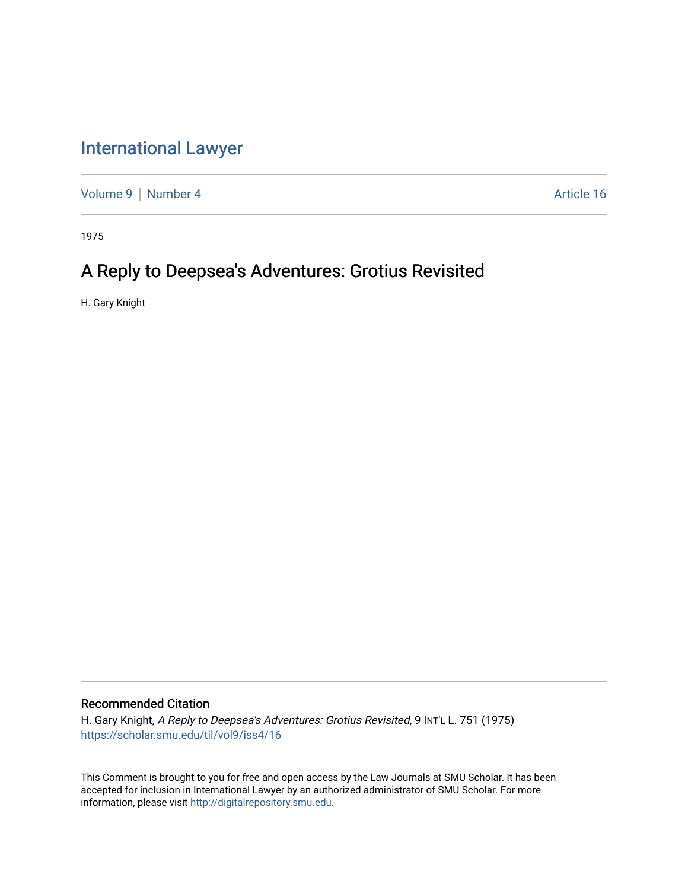# [International Lawyer](https://scholar.smu.edu/til)

[Volume 9](https://scholar.smu.edu/til/vol9) | [Number 4](https://scholar.smu.edu/til/vol9/iss4) Article 16

1975

## A Reply to Deepsea's Adventures: Grotius Revisited

H. Gary Knight

### Recommended Citation

H. Gary Knight, A Reply to Deepsea's Adventures: Grotius Revisited, 9 INT'L L. 751 (1975) [https://scholar.smu.edu/til/vol9/iss4/16](https://scholar.smu.edu/til/vol9/iss4/16?utm_source=scholar.smu.edu%2Ftil%2Fvol9%2Fiss4%2F16&utm_medium=PDF&utm_campaign=PDFCoverPages)

This Comment is brought to you for free and open access by the Law Journals at SMU Scholar. It has been accepted for inclusion in International Lawyer by an authorized administrator of SMU Scholar. For more information, please visit [http://digitalrepository.smu.edu](http://digitalrepository.smu.edu/).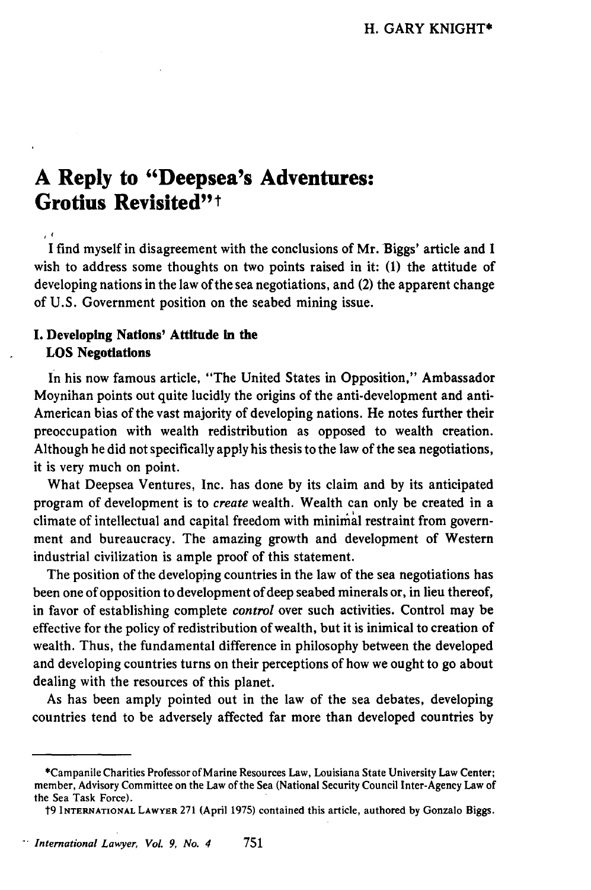## **A Reply to "Deepsea's Adventures: Grotius Revisited'"t**

**I** find myself in disagreement with the conclusions of Mr. Biggs' article and I wish to address some thoughts on two points raised in it: **(1)** the attitude of developing nations in the law of the sea negotiations, and (2) the apparent change of **U.S.** Government position on the seabed mining issue.

#### **I. Developing Nations' Attitude in the LOS** Negotiations

In his now famous article, "The United States in Opposition," Ambassador Moynihan points out quite lucidly the origins of the anti-development and anti-American bias of the vast majority of developing nations. He notes further their preoccupation with wealth redistribution as opposed to wealth creation. Although he did not specifically apply his thesis to the law of the sea negotiations, it is very much on point.

What Deepsea Ventures, Inc. has done **by** its claim and **by** its anticipated program of development is to *create* wealth. Wealth can only be created in a climate of intellectual and capital freedom with minimal restraint from government and bureaucracy. The amazing growth and development of Western industrial civilization is ample proof of this statement.

The position of the developing countries in the law of the sea negotiations has been one of opposition to development of deep seabed minerals or, in lieu thereof, in favor of establishing complete *control* over such activities. Control may be effective for the policy of redistribution of wealth, but it is inimical to creation of wealth. Thus, the fundamental difference in philosophy between the developed and developing countries turns on their perceptions of how we ought to go about dealing with the resources of this planet.

As has been amply pointed out in the law of the sea debates, developing countries tend to be adversely affected far more than developed countries **by**

<sup>\*</sup>Campanile Charities Professor of Marine Resources Law, Louisiana State University Law Center; member, Advisory Committee on the Law of the Sea (National Security Council Inter-Agency Law of the Sea Task Force).

t9 **INTERNATIONAL LAWYER 271** (April **1975)** contained this article, authored **by** Gonzalo Biggs.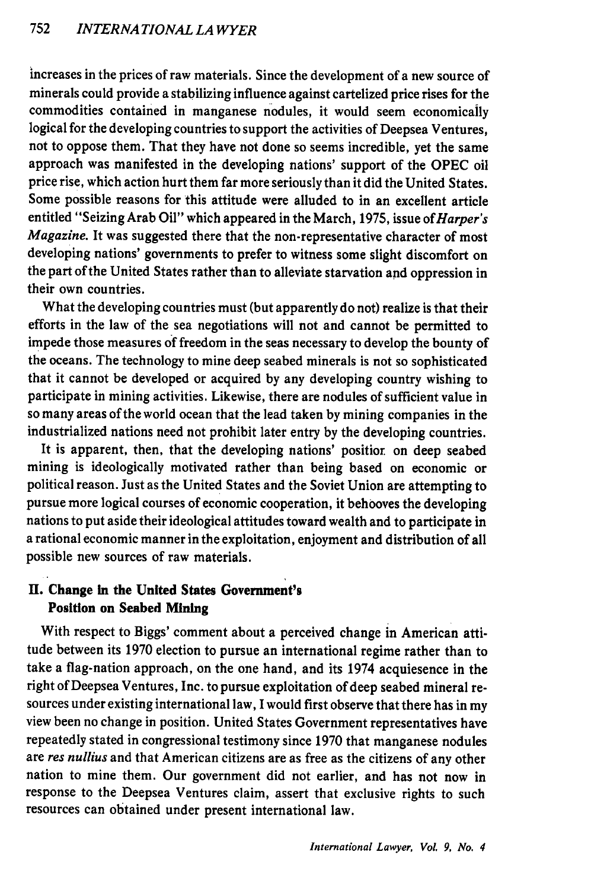increases in the prices of raw materials. Since the development of a new source of minerals could provide a stabilizing influence against cartelized price rises for the commodities contained in manganese nodules, it would seem economically logical for the developing countries to support the activities of Deepsea Ventures, not to oppose them. That they have not done so seems incredible, yet the same approach was manifested in the developing nations' support of the OPEC oil price rise, which action hurt them far more seriously than it did the United States. Some possible reasons for this attitude were alluded to in an excellent article entitled "Seizing Arab Oil" which appeared in the March, 1975, issue *of Harper's Magazine.* It was suggested there that the non-representative character of most developing nations' governments to prefer to witness some slight discomfort on the part of the United States rather than to alleviate starvation and oppression in their own countries.

What the developing countries must (but apparently do not) realize is that their efforts in the law of the sea negotiations will not and cannot be permitted to impede those measures of freedom in the seas necessary to develop the bounty of the oceans. The technology to mine deep seabed minerals is not so sophisticated that it cannot be developed or acquired by any developing country wishing to participate in mining activities. Likewise, there are nodules of sufficient value in so many areas of the world ocean that the lead taken by mining companies in the industrialized nations need not prohibit later entry by the developing countries.

It is apparent, then, that the developing nations' positior on deep seabed mining is ideologically motivated rather than being based on economic or political reason. Just as the United States and the Soviet Union are attempting to pursue more logical courses of economic cooperation, it behooves the developing nations to put aside their ideological attitudes toward wealth and to participate in a rational economic manner in the exploitation, enjoyment and distribution of all possible new sources of raw materials.

### **HI. Change In the United States Government's Position on Seabed Mining**

With **respect to** Biggs' comment about a perceived change in American attitude between its **1970** election to pursue an international regime rather than to take a flag-nation approach, on the one hand, and its 1974 acquiesence in the right of Deepsea Ventures, Inc. to pursue exploitation of deep seabed mineral resources under existing international law, I would first observe that there has in my view been no change in position. United States Government representatives have repeatedly stated in congressional testimony since **1970** that manganese nodules are *res nullius* and that American citizens are as free as the citizens of any other nation to mine them. Our government did not earlier, and has not now in response to the Deepsea Ventures claim, assert that exclusive rights to such resources can obtained under present international law.